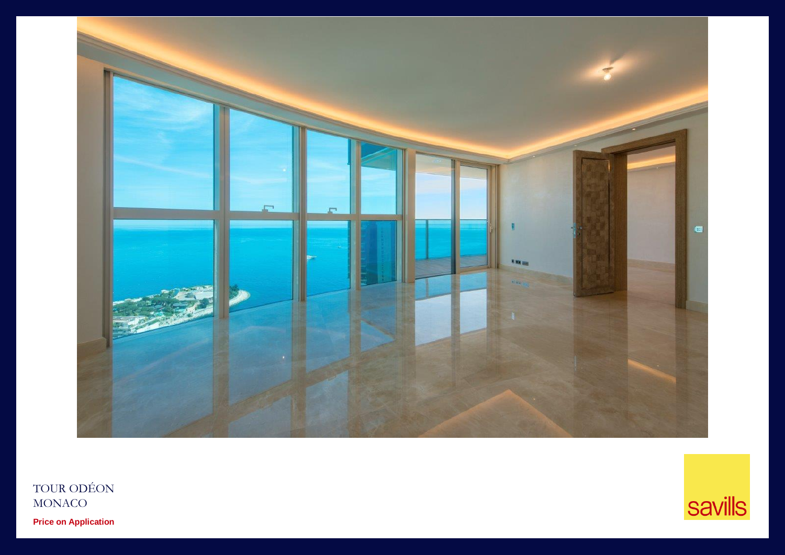

TOUR ODÉON MONACO **Price on Application**

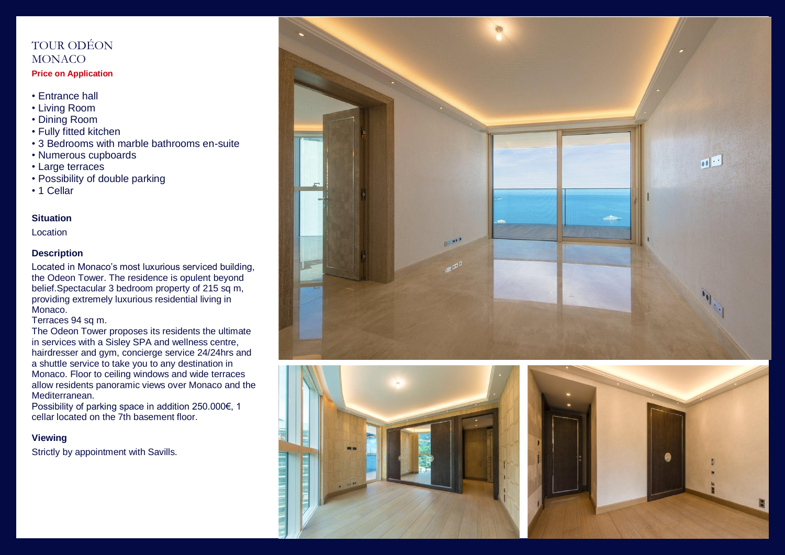# TOUR ODÉON MONACO

### **Price on Application**

- Entrance hall
- Living Room
- Dining Room
- Fully fitted kitchen
- 3 Bedrooms with marble bathrooms en-suite
- Numerous cupboards
- Large terraces
- Possibility of double parking
- 1 Cellar

#### **Situation**

**Location** 

## **Description**

Located in Monaco's most luxurious serviced building, the Odeon Tower. The residence is opulent beyond belief.Spectacular 3 bedroom property of 215 sq m, providing extremely luxurious residential living in Monaco.

Terraces 94 sq m.

The Odeon Tower proposes its residents the ultimate in services with a Sisley SPA and wellness centre, hairdresser and gym, concierge service 24/24hrs and a shuttle service to take you to any destination in Monaco. Floor to ceiling windows and wide terraces allow residents panoramic views over Monaco and the Mediterranean.

Possibility of parking space in addition 250.000€, 1 cellar located on the 7th basement floor.

## **Viewing**

Strictly by appointment with Savills.